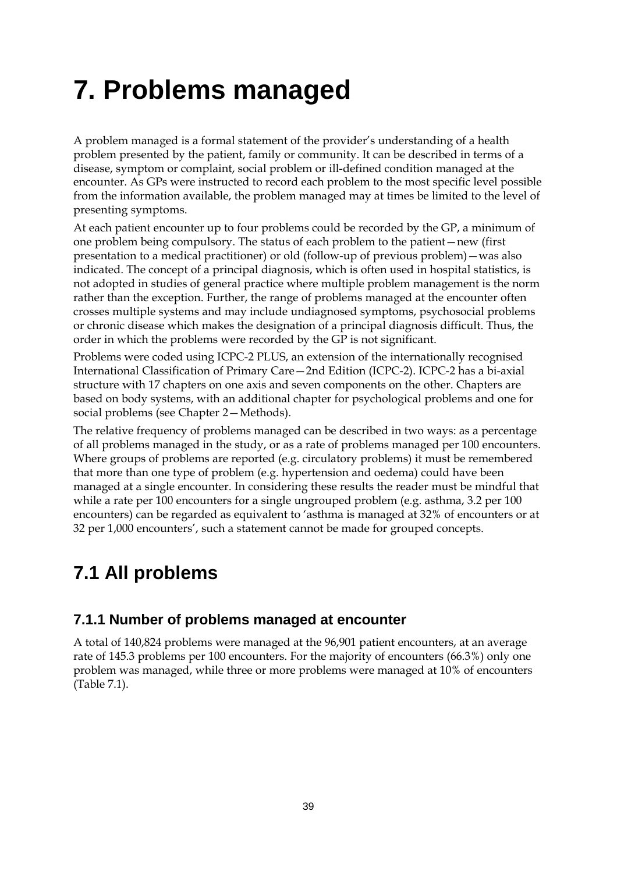# **7. Problems managed**

A problem managed is a formal statement of the provider's understanding of a health problem presented by the patient, family or community. It can be described in terms of a disease, symptom or complaint, social problem or ill-defined condition managed at the encounter. As GPs were instructed to record each problem to the most specific level possible from the information available, the problem managed may at times be limited to the level of presenting symptoms.

At each patient encounter up to four problems could be recorded by the GP, a minimum of one problem being compulsory. The status of each problem to the patient—new (first presentation to a medical practitioner) or old (follow-up of previous problem)—was also indicated. The concept of a principal diagnosis, which is often used in hospital statistics, is not adopted in studies of general practice where multiple problem management is the norm rather than the exception. Further, the range of problems managed at the encounter often crosses multiple systems and may include undiagnosed symptoms, psychosocial problems or chronic disease which makes the designation of a principal diagnosis difficult. Thus, the order in which the problems were recorded by the GP is not significant.

Problems were coded using ICPC-2 PLUS, an extension of the internationally recognised International Classification of Primary Care—2nd Edition (ICPC-2). ICPC-2 has a bi-axial structure with 17 chapters on one axis and seven components on the other. Chapters are based on body systems, with an additional chapter for psychological problems and one for social problems (see Chapter 2—Methods).

The relative frequency of problems managed can be described in two ways: as a percentage of all problems managed in the study, or as a rate of problems managed per 100 encounters. Where groups of problems are reported (e.g. circulatory problems) it must be remembered that more than one type of problem (e.g. hypertension and oedema) could have been managed at a single encounter. In considering these results the reader must be mindful that while a rate per 100 encounters for a single ungrouped problem (e.g. asthma, 3.2 per 100 encounters) can be regarded as equivalent to 'asthma is managed at 32% of encounters or at 32 per 1,000 encounters', such a statement cannot be made for grouped concepts.

# **7.1 All problems**

### **7.1.1 Number of problems managed at encounter**

A total of 140,824 problems were managed at the 96,901 patient encounters, at an average rate of 145.3 problems per 100 encounters. For the majority of encounters (66.3%) only one problem was managed, while three or more problems were managed at 10% of encounters (Table 7.1).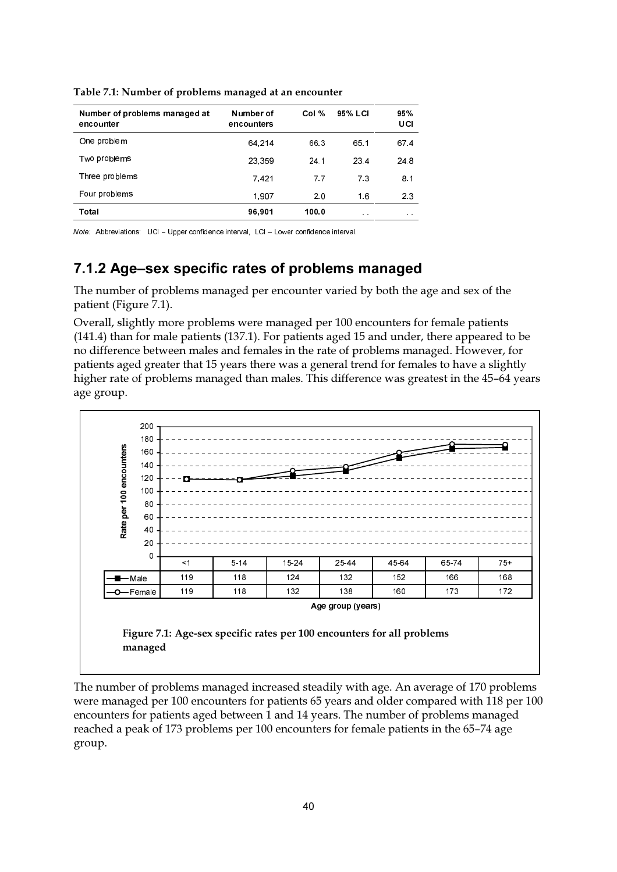| Number of problems managed at<br>encounter | Number of<br>encounters | Col % | 95% LCI      | 95%<br>UCI      |
|--------------------------------------------|-------------------------|-------|--------------|-----------------|
| One problem                                | 64 214                  | 66.3  | 65 1         | 67.4            |
| Two problems                               | 23.359                  | 24.1  | 23.4         | 24 8            |
| Three problems                             | 7.421                   | 77    | 7.3          | 8.1             |
| Four problems                              | 1.907                   | 2.0   | 1.6          | 2.3             |
| Total                                      | 96,901                  | 100.0 | $\alpha = 0$ | $\alpha = 0.05$ |

Table 7.1: Number of problems managed at an encounter

Note: Abbreviations: UCI - Upper confidence interval, LCI - Lower confidence interval.

### 7.1.2 Age-sex specific rates of problems managed

The number of problems managed per encounter varied by both the age and sex of the patient (Figure 7.1).

Overall, slightly more problems were managed per 100 encounters for female patients (141.4) than for male patients (137.1). For patients aged 15 and under, there appeared to be no difference between males and females in the rate of problems managed. However, for patients aged greater that 15 years there was a general trend for females to have a slightly higher rate of problems managed than males. This difference was greatest in the 45-64 years age group.



The number of problems managed increased steadily with age. An average of 170 problems were managed per 100 encounters for patients 65 years and older compared with 118 per 100 encounters for patients aged between 1 and 14 years. The number of problems managed reached a peak of 173 problems per 100 encounters for female patients in the 65-74 age group.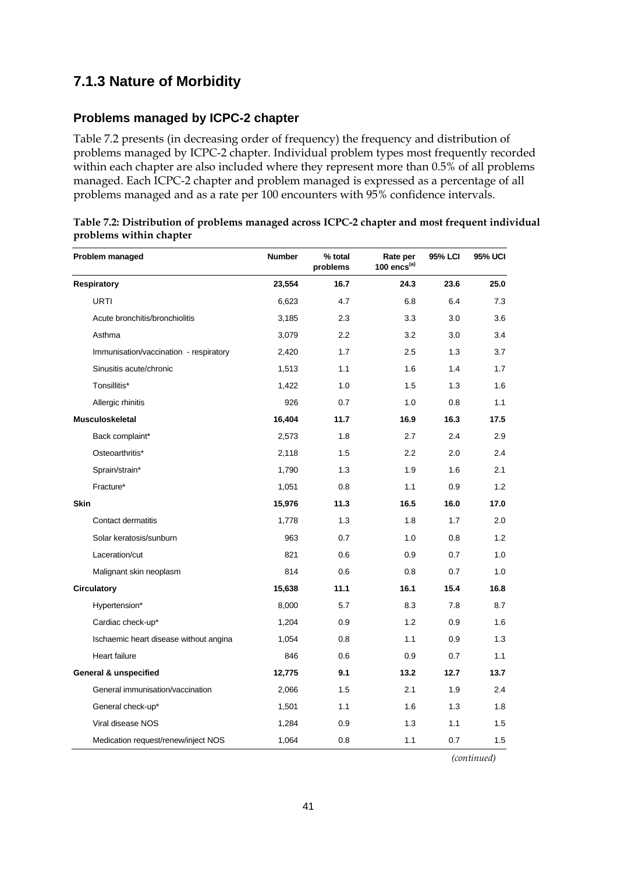### **7.1.3 Nature of Morbidity**

### **Problems managed by ICPC-2 chapter**

Table 7.2 presents (in decreasing order of frequency) the frequency and distribution of problems managed by ICPC-2 chapter. Individual problem types most frequently recorded within each chapter are also included where they represent more than 0.5% of all problems managed. Each ICPC-2 chapter and problem managed is expressed as a percentage of all problems managed and as a rate per 100 encounters with 95% confidence intervals.

| Table 7.2: Distribution of problems managed across ICPC-2 chapter and most frequent individual |  |
|------------------------------------------------------------------------------------------------|--|
| problems within chapter                                                                        |  |

| Problem managed                        | <b>Number</b> | % total<br>problems | Rate per<br>100 encs $(a)$ | <b>95% LCI</b> | <b>95% UCI</b> |
|----------------------------------------|---------------|---------------------|----------------------------|----------------|----------------|
| <b>Respiratory</b>                     | 23,554        | 16.7                | 24.3                       | 23.6           | 25.0           |
| <b>URTI</b>                            | 6,623         | 4.7                 | 6.8                        | 6.4            | 7.3            |
| Acute bronchitis/bronchiolitis         | 3,185         | 2.3                 | 3.3                        | 3.0            | 3.6            |
| Asthma                                 | 3,079         | 2.2                 | 3.2                        | 3.0            | 3.4            |
| Immunisation/vaccination - respiratory | 2,420         | 1.7                 | 2.5                        | 1.3            | 3.7            |
| Sinusitis acute/chronic                | 1,513         | 1.1                 | 1.6                        | 1.4            | 1.7            |
| Tonsillitis*                           | 1,422         | 1.0                 | 1.5                        | 1.3            | 1.6            |
| Allergic rhinitis                      | 926           | 0.7                 | 1.0                        | 0.8            | 1.1            |
| <b>Musculoskeletal</b>                 | 16,404        | 11.7                | 16.9                       | 16.3           | 17.5           |
| Back complaint*                        | 2,573         | 1.8                 | 2.7                        | 2.4            | 2.9            |
| Osteoarthritis*                        | 2,118         | 1.5                 | 2.2                        | 2.0            | 2.4            |
| Sprain/strain*                         | 1,790         | 1.3                 | 1.9                        | 1.6            | 2.1            |
| Fracture*                              | 1,051         | 0.8                 | 1.1                        | 0.9            | 1.2            |
| <b>Skin</b>                            | 15,976        | 11.3                | 16.5                       | 16.0           | 17.0           |
| Contact dermatitis                     | 1,778         | 1.3                 | 1.8                        | 1.7            | 2.0            |
| Solar keratosis/sunburn                | 963           | 0.7                 | 1.0                        | 0.8            | 1.2            |
| Laceration/cut                         | 821           | 0.6                 | 0.9                        | 0.7            | 1.0            |
| Malignant skin neoplasm                | 814           | 0.6                 | 0.8                        | 0.7            | 1.0            |
| <b>Circulatory</b>                     | 15,638        | 11.1                | 16.1                       | 15.4           | 16.8           |
| Hypertension*                          | 8,000         | 5.7                 | 8.3                        | 7.8            | 8.7            |
| Cardiac check-up*                      | 1,204         | 0.9                 | 1.2                        | 0.9            | 1.6            |
| Ischaemic heart disease without angina | 1,054         | 0.8                 | 1.1                        | 0.9            | 1.3            |
| <b>Heart failure</b>                   | 846           | 0.6                 | 0.9                        | 0.7            | 1.1            |
| <b>General &amp; unspecified</b>       | 12,775        | 9.1                 | 13.2                       | 12.7           | 13.7           |
| General immunisation/vaccination       | 2,066         | 1.5                 | 2.1                        | 1.9            | 2.4            |
| General check-up*                      | 1,501         | 1.1                 | 1.6                        | 1.3            | 1.8            |
| Viral disease NOS                      | 1,284         | 0.9                 | 1.3                        | 1.1            | 1.5            |
| Medication request/renew/inject NOS    | 1,064         | 0.8                 | 1.1                        | 0.7            | 1.5            |

*(continued)*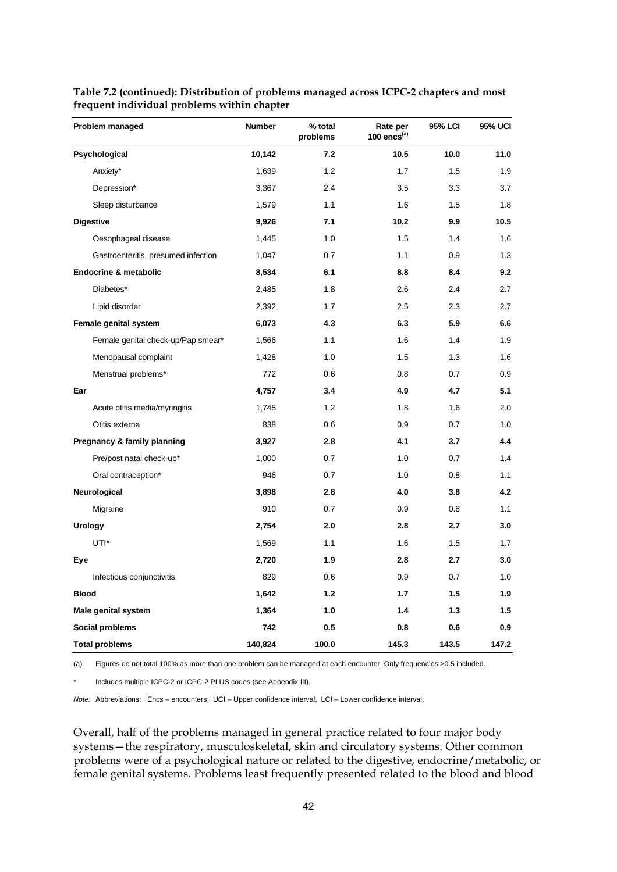| Problem managed                     | Number  | % total<br>problems | Rate per<br>100 $encs^{(a)}$ | 95% LCI | 95% UCI |
|-------------------------------------|---------|---------------------|------------------------------|---------|---------|
| Psychological                       | 10,142  | 7.2                 | 10.5                         | 10.0    | 11.0    |
| Anxiety*                            | 1,639   | 1.2                 | 1.7                          | 1.5     | 1.9     |
| Depression*                         | 3,367   | 2.4                 | 3.5                          | 3.3     | 3.7     |
| Sleep disturbance                   | 1,579   | 1.1                 | 1.6                          | 1.5     | 1.8     |
| <b>Digestive</b>                    | 9,926   | 7.1                 | 10.2                         | 9.9     | 10.5    |
| Oesophageal disease                 | 1,445   | 1.0                 | 1.5                          | 1.4     | 1.6     |
| Gastroenteritis, presumed infection | 1,047   | 0.7                 | 1.1                          | 0.9     | 1.3     |
| <b>Endocrine &amp; metabolic</b>    | 8,534   | 6.1                 | 8.8                          | 8.4     | 9.2     |
| Diabetes*                           | 2,485   | 1.8                 | 2.6                          | 2.4     | 2.7     |
| Lipid disorder                      | 2,392   | 1.7                 | 2.5                          | 2.3     | 2.7     |
| Female genital system               | 6,073   | 4.3                 | 6.3                          | 5.9     | 6.6     |
| Female genital check-up/Pap smear*  | 1,566   | 1.1                 | 1.6                          | 1.4     | 1.9     |
| Menopausal complaint                | 1,428   | 1.0                 | 1.5                          | 1.3     | 1.6     |
| Menstrual problems*                 | 772     | 0.6                 | 0.8                          | 0.7     | 0.9     |
| Ear                                 | 4,757   | 3.4                 | 4.9                          | 4.7     | 5.1     |
| Acute otitis media/myringitis       | 1,745   | 1.2                 | 1.8                          | 1.6     | 2.0     |
| Otitis externa                      | 838     | 0.6                 | 0.9                          | 0.7     | 1.0     |
| Pregnancy & family planning         | 3,927   | 2.8                 | 4.1                          | 3.7     | 4.4     |
| Pre/post natal check-up*            | 1,000   | 0.7                 | 1.0                          | 0.7     | 1.4     |
| Oral contraception*                 | 946     | 0.7                 | 1.0                          | 0.8     | 1.1     |
| Neurological                        | 3,898   | 2.8                 | 4.0                          | 3.8     | 4.2     |
| Migraine                            | 910     | 0.7                 | 0.9                          | 0.8     | 1.1     |
| <b>Urology</b>                      | 2,754   | 2.0                 | 2.8                          | 2.7     | 3.0     |
| UTI*                                | 1,569   | 1.1                 | 1.6                          | 1.5     | 1.7     |
| Eye                                 | 2,720   | 1.9                 | 2.8                          | 2.7     | 3.0     |
| Infectious conjunctivitis           | 829     | 0.6                 | 0.9                          | 0.7     | 1.0     |
| <b>Blood</b>                        | 1,642   | 1.2                 | 1.7                          | 1.5     | 1.9     |
| Male genital system                 | 1,364   | 1.0                 | 1.4                          | 1.3     | 1.5     |
| Social problems                     | 742     | 0.5                 | 0.8                          | 0.6     | 0.9     |
| <b>Total problems</b>               | 140,824 | 100.0               | 145.3                        | 143.5   | 147.2   |

**Table 7.2 (continued): Distribution of problems managed across ICPC-2 chapters and most frequent individual problems within chapter**

(a) Figures do not total 100% as more than one problem can be managed at each encounter. Only frequencies >0.5 included.

Includes multiple ICPC-2 or ICPC-2 PLUS codes (see Appendix III).

*Note:* Abbreviations: Encs – encounters, UCI – Upper confidence interval, LCI – Lower confidence interval,

Overall, half of the problems managed in general practice related to four major body systems—the respiratory, musculoskeletal, skin and circulatory systems. Other common problems were of a psychological nature or related to the digestive, endocrine/metabolic, or female genital systems. Problems least frequently presented related to the blood and blood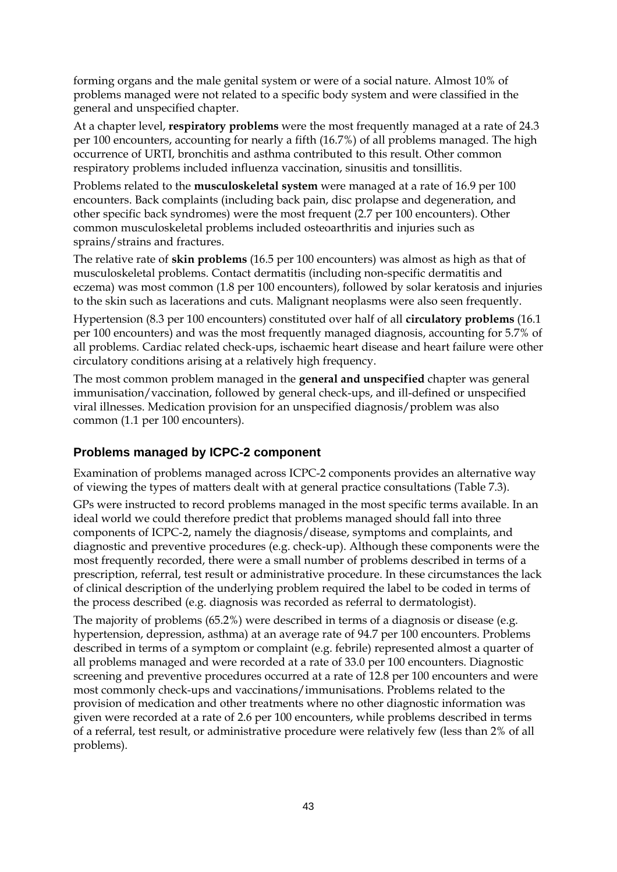forming organs and the male genital system or were of a social nature. Almost 10% of problems managed were not related to a specific body system and were classified in the general and unspecified chapter.

At a chapter level, **respiratory problems** were the most frequently managed at a rate of 24.3 per 100 encounters, accounting for nearly a fifth (16.7%) of all problems managed. The high occurrence of URTI, bronchitis and asthma contributed to this result. Other common respiratory problems included influenza vaccination, sinusitis and tonsillitis.

Problems related to the **musculoskeletal system** were managed at a rate of 16.9 per 100 encounters. Back complaints (including back pain, disc prolapse and degeneration, and other specific back syndromes) were the most frequent (2.7 per 100 encounters). Other common musculoskeletal problems included osteoarthritis and injuries such as sprains/strains and fractures.

The relative rate of **skin problems** (16.5 per 100 encounters) was almost as high as that of musculoskeletal problems. Contact dermatitis (including non-specific dermatitis and eczema) was most common (1.8 per 100 encounters), followed by solar keratosis and injuries to the skin such as lacerations and cuts. Malignant neoplasms were also seen frequently.

Hypertension (8.3 per 100 encounters) constituted over half of all **circulatory problems** (16.1 per 100 encounters) and was the most frequently managed diagnosis, accounting for 5.7% of all problems. Cardiac related check-ups, ischaemic heart disease and heart failure were other circulatory conditions arising at a relatively high frequency.

The most common problem managed in the **general and unspecified** chapter was general immunisation/vaccination, followed by general check-ups, and ill-defined or unspecified viral illnesses. Medication provision for an unspecified diagnosis/problem was also common (1.1 per 100 encounters).

### **Problems managed by ICPC-2 component**

Examination of problems managed across ICPC-2 components provides an alternative way of viewing the types of matters dealt with at general practice consultations (Table 7.3).

GPs were instructed to record problems managed in the most specific terms available. In an ideal world we could therefore predict that problems managed should fall into three components of ICPC-2, namely the diagnosis/disease, symptoms and complaints, and diagnostic and preventive procedures (e.g. check-up). Although these components were the most frequently recorded, there were a small number of problems described in terms of a prescription, referral, test result or administrative procedure. In these circumstances the lack of clinical description of the underlying problem required the label to be coded in terms of the process described (e.g. diagnosis was recorded as referral to dermatologist).

The majority of problems (65.2%) were described in terms of a diagnosis or disease (e.g. hypertension, depression, asthma) at an average rate of 94.7 per 100 encounters. Problems described in terms of a symptom or complaint (e.g. febrile) represented almost a quarter of all problems managed and were recorded at a rate of 33.0 per 100 encounters. Diagnostic screening and preventive procedures occurred at a rate of 12.8 per 100 encounters and were most commonly check-ups and vaccinations/immunisations. Problems related to the provision of medication and other treatments where no other diagnostic information was given were recorded at a rate of 2.6 per 100 encounters, while problems described in terms of a referral, test result, or administrative procedure were relatively few (less than 2% of all problems).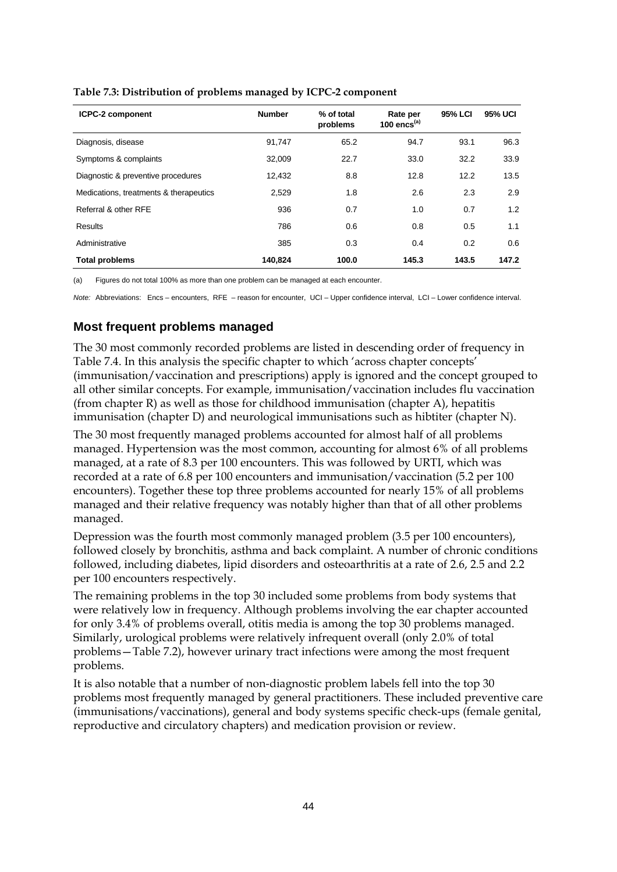| <b>ICPC-2 component</b>                | <b>Number</b> | % of total<br>problems | Rate per<br>100 $encs^{(a)}$ | 95% LCI | <b>95% UCI</b> |
|----------------------------------------|---------------|------------------------|------------------------------|---------|----------------|
| Diagnosis, disease                     | 91,747        | 65.2                   | 94.7                         | 93.1    | 96.3           |
| Symptoms & complaints                  | 32.009        | 22.7                   | 33.0                         | 32.2    | 33.9           |
| Diagnostic & preventive procedures     | 12.432        | 8.8                    | 12.8                         | 12.2    | 13.5           |
| Medications, treatments & therapeutics | 2,529         | 1.8                    | 2.6                          | 2.3     | 2.9            |
| Referral & other RFE                   | 936           | 0.7                    | 1.0                          | 0.7     | 1.2            |
| Results                                | 786           | 0.6                    | 0.8                          | 0.5     | 1.1            |
| Administrative                         | 385           | 0.3                    | 0.4                          | 0.2     | 0.6            |
| <b>Total problems</b>                  | 140,824       | 100.0                  | 145.3                        | 143.5   | 147.2          |

**Table 7.3: Distribution of problems managed by ICPC-2 component**

(a) Figures do not total 100% as more than one problem can be managed at each encounter.

*Note:* Abbreviations: Encs – encounters, RFE – reason for encounter, UCI – Upper confidence interval, LCI – Lower confidence interval.

### **Most frequent problems managed**

The 30 most commonly recorded problems are listed in descending order of frequency in Table 7.4. In this analysis the specific chapter to which 'across chapter concepts' (immunisation/vaccination and prescriptions) apply is ignored and the concept grouped to all other similar concepts. For example, immunisation/vaccination includes flu vaccination (from chapter R) as well as those for childhood immunisation (chapter A), hepatitis immunisation (chapter D) and neurological immunisations such as hibtiter (chapter N).

The 30 most frequently managed problems accounted for almost half of all problems managed. Hypertension was the most common, accounting for almost 6% of all problems managed, at a rate of 8.3 per 100 encounters. This was followed by URTI, which was recorded at a rate of 6.8 per 100 encounters and immunisation/vaccination (5.2 per 100 encounters). Together these top three problems accounted for nearly 15% of all problems managed and their relative frequency was notably higher than that of all other problems managed.

Depression was the fourth most commonly managed problem (3.5 per 100 encounters), followed closely by bronchitis, asthma and back complaint. A number of chronic conditions followed, including diabetes, lipid disorders and osteoarthritis at a rate of 2.6, 2.5 and 2.2 per 100 encounters respectively.

The remaining problems in the top 30 included some problems from body systems that were relatively low in frequency. Although problems involving the ear chapter accounted for only 3.4% of problems overall, otitis media is among the top 30 problems managed. Similarly, urological problems were relatively infrequent overall (only 2.0% of total problems—Table 7.2), however urinary tract infections were among the most frequent problems.

It is also notable that a number of non-diagnostic problem labels fell into the top 30 problems most frequently managed by general practitioners. These included preventive care (immunisations/vaccinations), general and body systems specific check-ups (female genital, reproductive and circulatory chapters) and medication provision or review.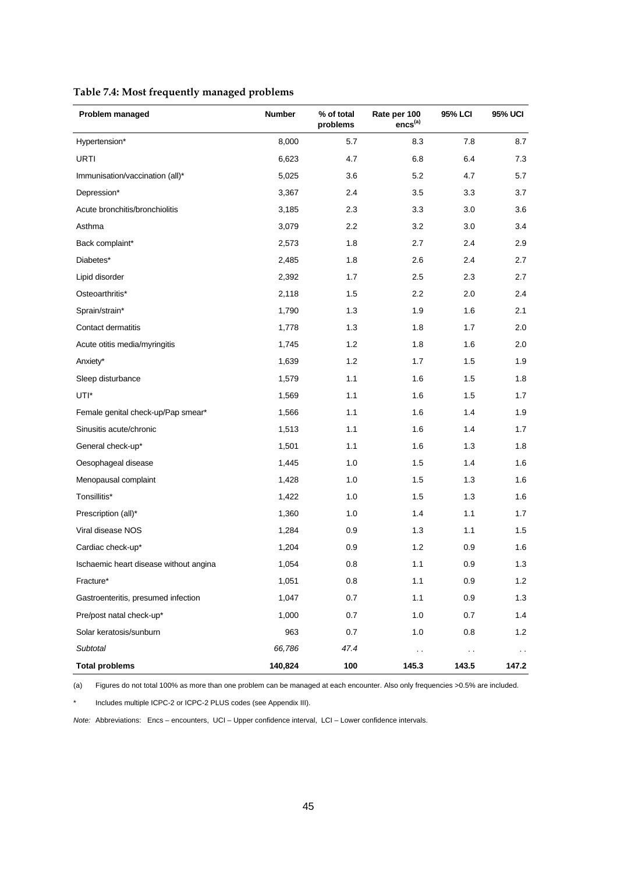| Table 7.4: Most frequently managed problems |  |  |
|---------------------------------------------|--|--|
|---------------------------------------------|--|--|

| Problem managed                        | <b>Number</b><br>% of total<br>problems |      | Rate per 100<br>encs <sup>(a)</sup> | 95% LCI                | 95% UCI       |
|----------------------------------------|-----------------------------------------|------|-------------------------------------|------------------------|---------------|
| Hypertension*                          | 8,000                                   | 5.7  | 8.3                                 | 7.8                    | 8.7           |
| URTI                                   | 6,623                                   | 4.7  | 6.8                                 | 6.4                    | 7.3           |
| Immunisation/vaccination (all)*        | 5,025                                   | 3.6  | 5.2                                 | 4.7                    | 5.7           |
| Depression*                            | 3,367                                   | 2.4  | 3.5                                 | 3.3                    | 3.7           |
| Acute bronchitis/bronchiolitis         | 3,185                                   | 2.3  | 3.3                                 | 3.0                    | 3.6           |
| Asthma                                 | 3,079                                   | 2.2  | 3.2                                 | 3.0                    | 3.4           |
| Back complaint*                        | 2,573                                   | 1.8  | 2.7                                 | 2.4                    | 2.9           |
| Diabetes*                              | 2,485                                   | 1.8  | 2.6                                 | 2.4                    | 2.7           |
| Lipid disorder                         | 2,392                                   | 1.7  | 2.5                                 | 2.3                    | 2.7           |
| Osteoarthritis*                        | 2,118                                   | 1.5  | 2.2                                 | 2.0                    | 2.4           |
| Sprain/strain*                         | 1,790                                   | 1.3  | 1.9                                 | 1.6                    | 2.1           |
| Contact dermatitis                     | 1,778                                   | 1.3  | 1.8                                 | 1.7                    | 2.0           |
| Acute otitis media/myringitis          | 1,745                                   | 1.2  | 1.8                                 | 1.6                    | 2.0           |
| Anxiety*                               | 1,639                                   | 1.2  | 1.7                                 | 1.5                    | 1.9           |
| Sleep disturbance                      | 1,579                                   | 1.1  | 1.6                                 | 1.5                    | 1.8           |
| UTI*                                   | 1,569                                   | 1.1  | 1.6                                 | 1.5                    | 1.7           |
| Female genital check-up/Pap smear*     | 1,566                                   | 1.1  | 1.6                                 | 1.4                    | 1.9           |
| Sinusitis acute/chronic                | 1,513                                   | 1.1  | 1.6                                 | 1.4                    | 1.7           |
| General check-up*                      | 1,501                                   | 1.1  | 1.6                                 | 1.3                    | 1.8           |
| Oesophageal disease                    | 1,445                                   | 1.0  | 1.5                                 | 1.4                    | 1.6           |
| Menopausal complaint                   | 1,428                                   | 1.0  | 1.5                                 | 1.3                    | 1.6           |
| Tonsillitis*                           | 1,422                                   | 1.0  | 1.5                                 | 1.3                    | 1.6           |
| Prescription (all)*                    | 1,360                                   | 1.0  | 1.4                                 | 1.1                    | 1.7           |
| Viral disease NOS                      | 1,284                                   | 0.9  | 1.3                                 | 1.1                    | 1.5           |
| Cardiac check-up*                      | 1,204                                   | 0.9  | 1.2                                 | 0.9                    | 1.6           |
| Ischaemic heart disease without angina | 1,054                                   | 0.8  | 1.1                                 | 0.9                    | 1.3           |
| Fracture*                              | 1,051                                   | 0.8  | 1.1                                 | $0.9\,$                | $1.2$         |
| Gastroenteritis, presumed infection    | 1,047                                   | 0.7  | 1.1                                 | 0.9                    | 1.3           |
| Pre/post natal check-up*               | 1,000                                   | 0.7  | 1.0                                 | 0.7                    | 1.4           |
| Solar keratosis/sunburn                | 963                                     | 0.7  | 1.0                                 | 0.8                    | $1.2$         |
| Subtotal                               | 66,786                                  | 47.4 | $\sim$                              | $\ddot{\phantom{1}}$ . | $\sim$ $\sim$ |
| <b>Total problems</b>                  | 140,824                                 | 100  | 145.3                               | 143.5                  | 147.2         |

(a) Figures do not total 100% as more than one problem can be managed at each encounter. Also only frequencies >0.5% are included.

\* Includes multiple ICPC-2 or ICPC-2 PLUS codes (see Appendix III).

*Note:* Abbreviations: Encs – encounters, UCI – Upper confidence interval, LCI – Lower confidence intervals.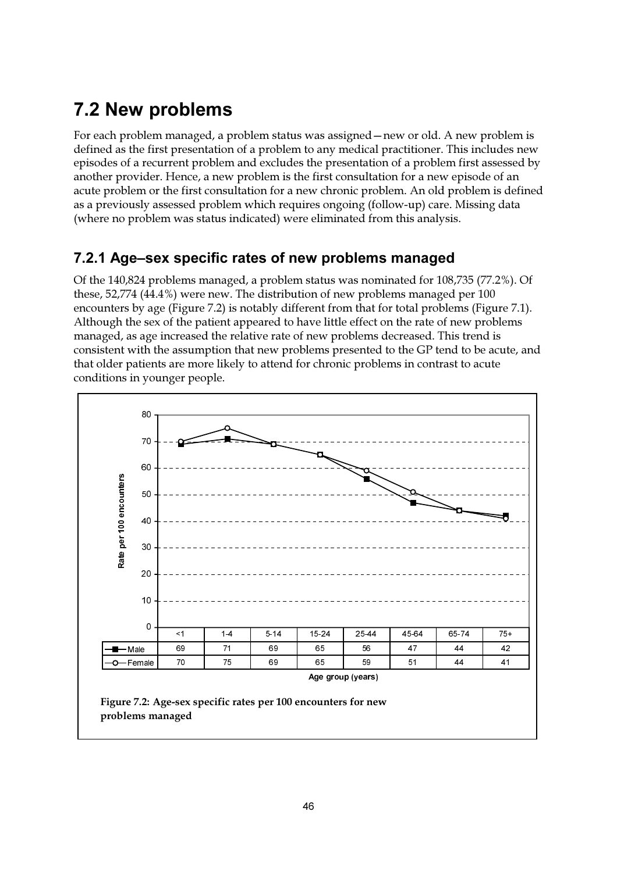# **7.2 New problems**

For each problem managed, a problem status was assigned – new or old. A new problem is defined as the first presentation of a problem to any medical practitioner. This includes new episodes of a recurrent problem and excludes the presentation of a problem first assessed by another provider. Hence, a new problem is the first consultation for a new episode of an acute problem or the first consultation for a new chronic problem. An old problem is defined as a previously assessed problem which requires ongoing (follow-up) care. Missing data (where no problem was status indicated) were eliminated from this analysis.

### 7.2.1 Age-sex specific rates of new problems managed

Of the 140,824 problems managed, a problem status was nominated for 108,735 (77.2%). Of these, 52,774 (44.4%) were new. The distribution of new problems managed per 100 encounters by age (Figure 7.2) is notably different from that for total problems (Figure 7.1). Although the sex of the patient appeared to have little effect on the rate of new problems managed, as age increased the relative rate of new problems decreased. This trend is consistent with the assumption that new problems presented to the GP tend to be acute, and that older patients are more likely to attend for chronic problems in contrast to acute conditions in younger people.

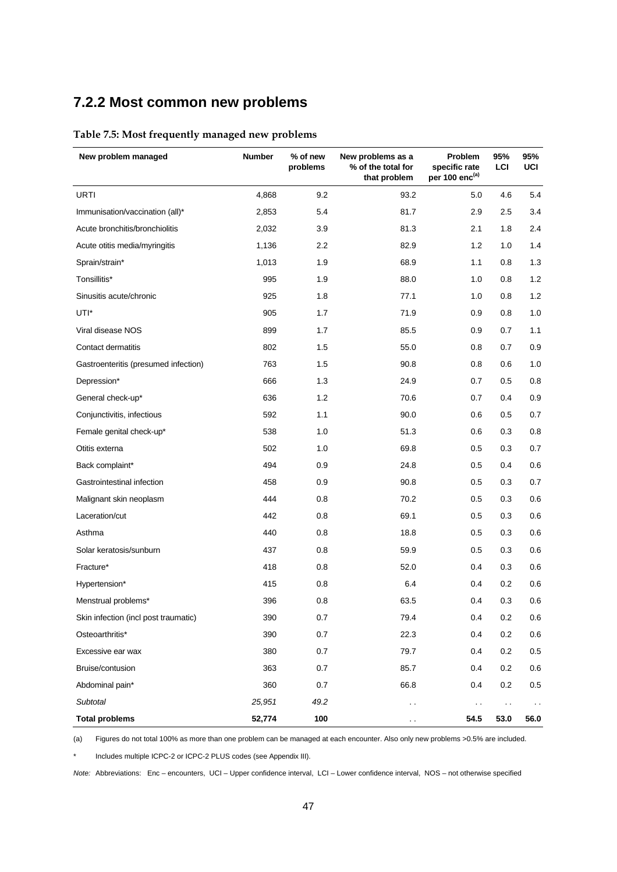### **7.2.2 Most common new problems**

### **Table 7.5: Most frequently managed new problems**

| New problem managed                  | <b>Number</b> | % of new<br>problems | New problems as a<br>% of the total for<br>that problem | Problem<br>specific rate<br>per 100 enc <sup>(a)</sup> | 95%<br>LCI    | 95%<br>UCI    |
|--------------------------------------|---------------|----------------------|---------------------------------------------------------|--------------------------------------------------------|---------------|---------------|
| URTI                                 | 4,868         | 9.2                  | 93.2                                                    | 5.0                                                    | 4.6           | 5.4           |
| Immunisation/vaccination (all)*      | 2,853         | 5.4                  | 81.7                                                    | 2.9                                                    | 2.5           | 3.4           |
| Acute bronchitis/bronchiolitis       | 2,032         | 3.9                  | 81.3                                                    | 2.1                                                    | 1.8           | 2.4           |
| Acute otitis media/myringitis        | 1,136         | $2.2\,$              | 82.9                                                    | 1.2                                                    | 1.0           | 1.4           |
| Sprain/strain*                       | 1,013         | 1.9                  | 68.9                                                    | 1.1                                                    | 0.8           | 1.3           |
| Tonsillitis*                         | 995           | 1.9                  | 88.0                                                    | 1.0                                                    | 0.8           | 1.2           |
| Sinusitis acute/chronic              | 925           | 1.8                  | 77.1                                                    | 1.0                                                    | 0.8           | 1.2           |
| UTI*                                 | 905           | 1.7                  | 71.9                                                    | 0.9                                                    | 0.8           | 1.0           |
| Viral disease NOS                    | 899           | 1.7                  | 85.5                                                    | 0.9                                                    | 0.7           | 1.1           |
| Contact dermatitis                   | 802           | 1.5                  | 55.0                                                    | 0.8                                                    | 0.7           | 0.9           |
| Gastroenteritis (presumed infection) | 763           | 1.5                  | 90.8                                                    | 0.8                                                    | 0.6           | 1.0           |
| Depression*                          | 666           | 1.3                  | 24.9                                                    | 0.7                                                    | 0.5           | 0.8           |
| General check-up*                    | 636           | 1.2                  | 70.6                                                    | 0.7                                                    | 0.4           | 0.9           |
| Conjunctivitis, infectious           | 592           | 1.1                  | 90.0                                                    | 0.6                                                    | 0.5           | 0.7           |
| Female genital check-up*             | 538           | 1.0                  | 51.3                                                    | 0.6                                                    | 0.3           | 0.8           |
| Otitis externa                       | 502           | 1.0                  | 69.8                                                    | 0.5                                                    | 0.3           | 0.7           |
| Back complaint*                      | 494           | 0.9                  | 24.8                                                    | 0.5                                                    | 0.4           | 0.6           |
| Gastrointestinal infection           | 458           | 0.9                  | 90.8                                                    | 0.5                                                    | 0.3           | 0.7           |
| Malignant skin neoplasm              | 444           | 0.8                  | 70.2                                                    | 0.5                                                    | 0.3           | 0.6           |
| Laceration/cut                       | 442           | 0.8                  | 69.1                                                    | 0.5                                                    | 0.3           | 0.6           |
| Asthma                               | 440           | 0.8                  | 18.8                                                    | 0.5                                                    | 0.3           | 0.6           |
| Solar keratosis/sunburn              | 437           | 0.8                  | 59.9                                                    | 0.5                                                    | 0.3           | 0.6           |
| Fracture*                            | 418           | 0.8                  | 52.0                                                    | 0.4                                                    | 0.3           | 0.6           |
| Hypertension*                        | 415           | 0.8                  | 6.4                                                     | 0.4                                                    | 0.2           | 0.6           |
| Menstrual problems*                  | 396           | 0.8                  | 63.5                                                    | 0.4                                                    | 0.3           | 0.6           |
| Skin infection (incl post traumatic) | 390           | 0.7                  | 79.4                                                    | 0.4                                                    | 0.2           | 0.6           |
| Osteoarthritis*                      | 390           | $0.7\,$              | 22.3                                                    | 0.4                                                    | 0.2           | $0.6\,$       |
| Excessive ear wax                    | 380           | 0.7                  | 79.7                                                    | 0.4                                                    | 0.2           | 0.5           |
| Bruise/contusion                     | 363           | 0.7                  | 85.7                                                    | 0.4                                                    | 0.2           | 0.6           |
| Abdominal pain*                      | 360           | 0.7                  | 66.8                                                    | 0.4                                                    | $0.2\,$       | 0.5           |
| Subtotal                             | 25,951        | 49.2                 | $\sim$                                                  | $\sim$ $\sim$                                          | $\sim$ $\sim$ | $\sim$ $\sim$ |
| <b>Total problems</b>                | 52,774        | 100                  | $\sim$                                                  | 54.5                                                   | 53.0          | 56.0          |

(a) Figures do not total 100% as more than one problem can be managed at each encounter. Also only new problems >0.5% are included.

Includes multiple ICPC-2 or ICPC-2 PLUS codes (see Appendix III).

*Note:* Abbreviations: Enc – encounters, UCI – Upper confidence interval, LCI – Lower confidence interval, NOS – not otherwise specified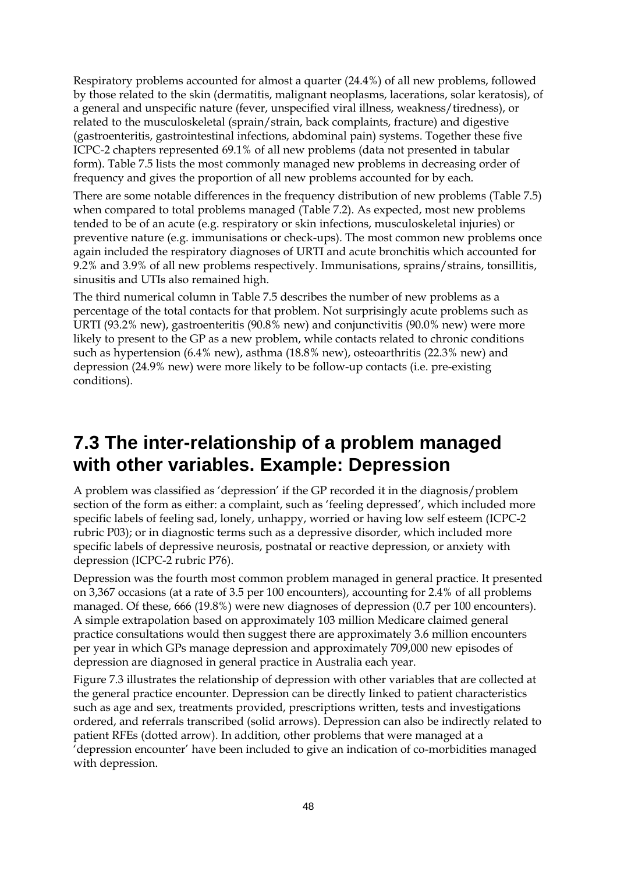Respiratory problems accounted for almost a quarter (24.4%) of all new problems, followed by those related to the skin (dermatitis, malignant neoplasms, lacerations, solar keratosis), of a general and unspecific nature (fever, unspecified viral illness, weakness/tiredness), or related to the musculoskeletal (sprain/strain, back complaints, fracture) and digestive (gastroenteritis, gastrointestinal infections, abdominal pain) systems. Together these five ICPC-2 chapters represented 69.1% of all new problems (data not presented in tabular form). Table 7.5 lists the most commonly managed new problems in decreasing order of frequency and gives the proportion of all new problems accounted for by each.

There are some notable differences in the frequency distribution of new problems (Table 7.5) when compared to total problems managed (Table 7.2). As expected, most new problems tended to be of an acute (e.g. respiratory or skin infections, musculoskeletal injuries) or preventive nature (e.g. immunisations or check-ups). The most common new problems once again included the respiratory diagnoses of URTI and acute bronchitis which accounted for 9.2% and 3.9% of all new problems respectively. Immunisations, sprains/strains, tonsillitis, sinusitis and UTIs also remained high.

The third numerical column in Table 7.5 describes the number of new problems as a percentage of the total contacts for that problem. Not surprisingly acute problems such as URTI (93.2% new), gastroenteritis (90.8% new) and conjunctivitis (90.0% new) were more likely to present to the GP as a new problem, while contacts related to chronic conditions such as hypertension (6.4% new), asthma (18.8% new), osteoarthritis (22.3% new) and depression (24.9% new) were more likely to be follow-up contacts (i.e. pre-existing conditions).

## **7.3 The inter-relationship of a problem managed with other variables. Example: Depression**

A problem was classified as 'depression' if the GP recorded it in the diagnosis/problem section of the form as either: a complaint, such as 'feeling depressed', which included more specific labels of feeling sad, lonely, unhappy, worried or having low self esteem (ICPC-2 rubric P03); or in diagnostic terms such as a depressive disorder, which included more specific labels of depressive neurosis, postnatal or reactive depression, or anxiety with depression (ICPC-2 rubric P76).

Depression was the fourth most common problem managed in general practice. It presented on 3,367 occasions (at a rate of 3.5 per 100 encounters), accounting for 2.4% of all problems managed. Of these, 666 (19.8%) were new diagnoses of depression (0.7 per 100 encounters). A simple extrapolation based on approximately 103 million Medicare claimed general practice consultations would then suggest there are approximately 3.6 million encounters per year in which GPs manage depression and approximately 709,000 new episodes of depression are diagnosed in general practice in Australia each year.

Figure 7.3 illustrates the relationship of depression with other variables that are collected at the general practice encounter. Depression can be directly linked to patient characteristics such as age and sex, treatments provided, prescriptions written, tests and investigations ordered, and referrals transcribed (solid arrows). Depression can also be indirectly related to patient RFEs (dotted arrow). In addition, other problems that were managed at a 'depression encounter' have been included to give an indication of co-morbidities managed with depression.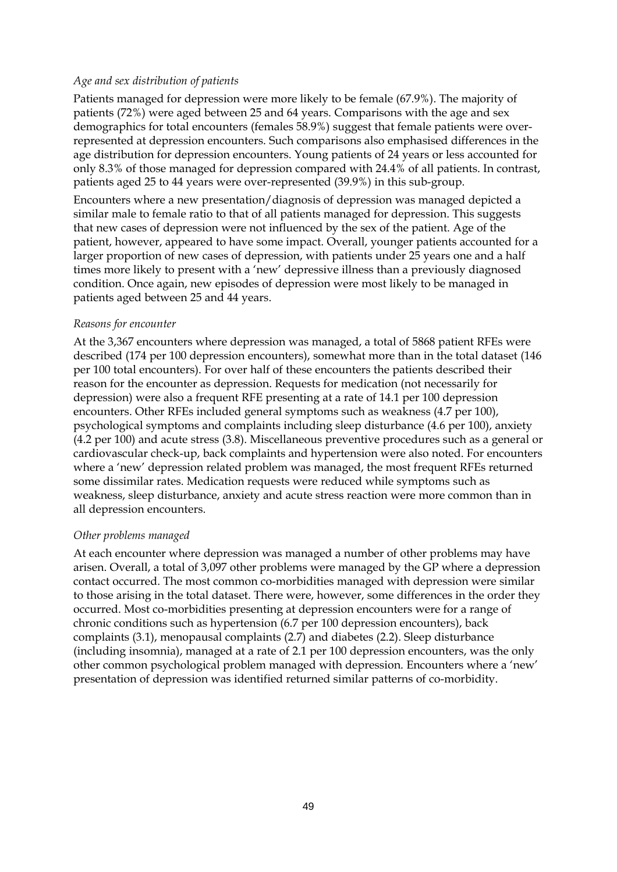#### *Age and sex distribution of patients*

Patients managed for depression were more likely to be female (67.9%). The majority of patients (72%) were aged between 25 and 64 years. Comparisons with the age and sex demographics for total encounters (females 58.9%) suggest that female patients were overrepresented at depression encounters. Such comparisons also emphasised differences in the age distribution for depression encounters. Young patients of 24 years or less accounted for only 8.3% of those managed for depression compared with 24.4% of all patients. In contrast, patients aged 25 to 44 years were over-represented (39.9%) in this sub-group.

Encounters where a new presentation/diagnosis of depression was managed depicted a similar male to female ratio to that of all patients managed for depression. This suggests that new cases of depression were not influenced by the sex of the patient. Age of the patient, however, appeared to have some impact. Overall, younger patients accounted for a larger proportion of new cases of depression, with patients under 25 years one and a half times more likely to present with a 'new' depressive illness than a previously diagnosed condition. Once again, new episodes of depression were most likely to be managed in patients aged between 25 and 44 years.

#### *Reasons for encounter*

At the 3,367 encounters where depression was managed, a total of 5868 patient RFEs were described (174 per 100 depression encounters), somewhat more than in the total dataset (146 per 100 total encounters). For over half of these encounters the patients described their reason for the encounter as depression. Requests for medication (not necessarily for depression) were also a frequent RFE presenting at a rate of 14.1 per 100 depression encounters. Other RFEs included general symptoms such as weakness (4.7 per 100), psychological symptoms and complaints including sleep disturbance (4.6 per 100), anxiety (4.2 per 100) and acute stress (3.8). Miscellaneous preventive procedures such as a general or cardiovascular check-up, back complaints and hypertension were also noted. For encounters where a 'new' depression related problem was managed, the most frequent RFEs returned some dissimilar rates. Medication requests were reduced while symptoms such as weakness, sleep disturbance, anxiety and acute stress reaction were more common than in all depression encounters.

#### *Other problems managed*

At each encounter where depression was managed a number of other problems may have arisen. Overall, a total of 3,097 other problems were managed by the GP where a depression contact occurred. The most common co-morbidities managed with depression were similar to those arising in the total dataset. There were, however, some differences in the order they occurred. Most co-morbidities presenting at depression encounters were for a range of chronic conditions such as hypertension (6.7 per 100 depression encounters), back complaints (3.1), menopausal complaints (2.7) and diabetes (2.2). Sleep disturbance (including insomnia), managed at a rate of 2.1 per 100 depression encounters, was the only other common psychological problem managed with depression. Encounters where a 'new' presentation of depression was identified returned similar patterns of co-morbidity.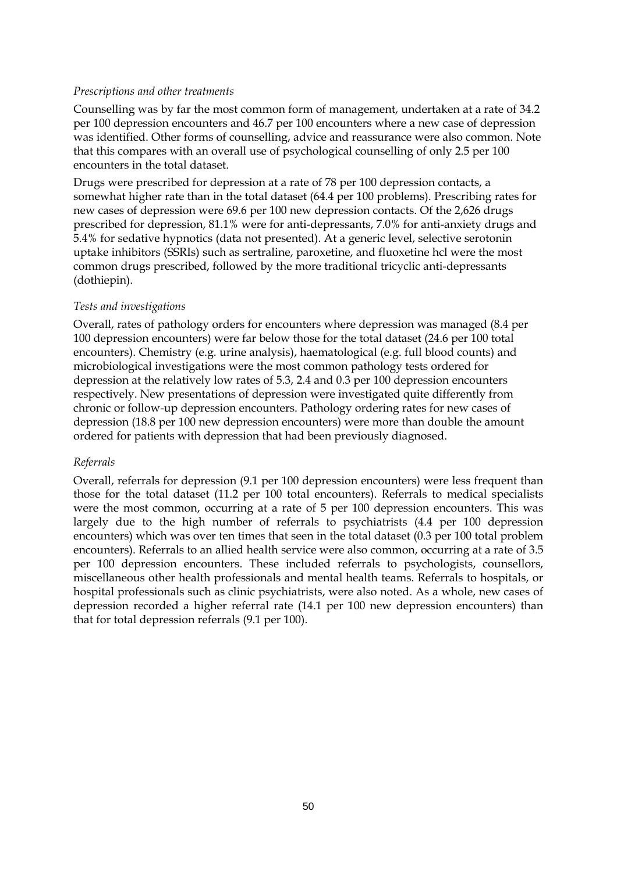### *Prescriptions and other treatments*

Counselling was by far the most common form of management, undertaken at a rate of 34.2 per 100 depression encounters and 46.7 per 100 encounters where a new case of depression was identified. Other forms of counselling, advice and reassurance were also common. Note that this compares with an overall use of psychological counselling of only 2.5 per 100 encounters in the total dataset.

Drugs were prescribed for depression at a rate of 78 per 100 depression contacts, a somewhat higher rate than in the total dataset (64.4 per 100 problems). Prescribing rates for new cases of depression were 69.6 per 100 new depression contacts. Of the 2,626 drugs prescribed for depression, 81.1% were for anti-depressants, 7.0% for anti-anxiety drugs and 5.4% for sedative hypnotics (data not presented). At a generic level, selective serotonin uptake inhibitors (SSRIs) such as sertraline, paroxetine, and fluoxetine hcl were the most common drugs prescribed, followed by the more traditional tricyclic anti-depressants (dothiepin).

#### *Tests and investigations*

Overall, rates of pathology orders for encounters where depression was managed (8.4 per 100 depression encounters) were far below those for the total dataset (24.6 per 100 total encounters). Chemistry (e.g. urine analysis), haematological (e.g. full blood counts) and microbiological investigations were the most common pathology tests ordered for depression at the relatively low rates of 5.3, 2.4 and 0.3 per 100 depression encounters respectively. New presentations of depression were investigated quite differently from chronic or follow-up depression encounters. Pathology ordering rates for new cases of depression (18.8 per 100 new depression encounters) were more than double the amount ordered for patients with depression that had been previously diagnosed.

#### *Referrals*

Overall, referrals for depression (9.1 per 100 depression encounters) were less frequent than those for the total dataset (11.2 per 100 total encounters). Referrals to medical specialists were the most common, occurring at a rate of 5 per 100 depression encounters. This was largely due to the high number of referrals to psychiatrists (4.4 per 100 depression encounters) which was over ten times that seen in the total dataset (0.3 per 100 total problem encounters). Referrals to an allied health service were also common, occurring at a rate of 3.5 per 100 depression encounters. These included referrals to psychologists, counsellors, miscellaneous other health professionals and mental health teams. Referrals to hospitals, or hospital professionals such as clinic psychiatrists, were also noted. As a whole, new cases of depression recorded a higher referral rate (14.1 per 100 new depression encounters) than that for total depression referrals (9.1 per 100).